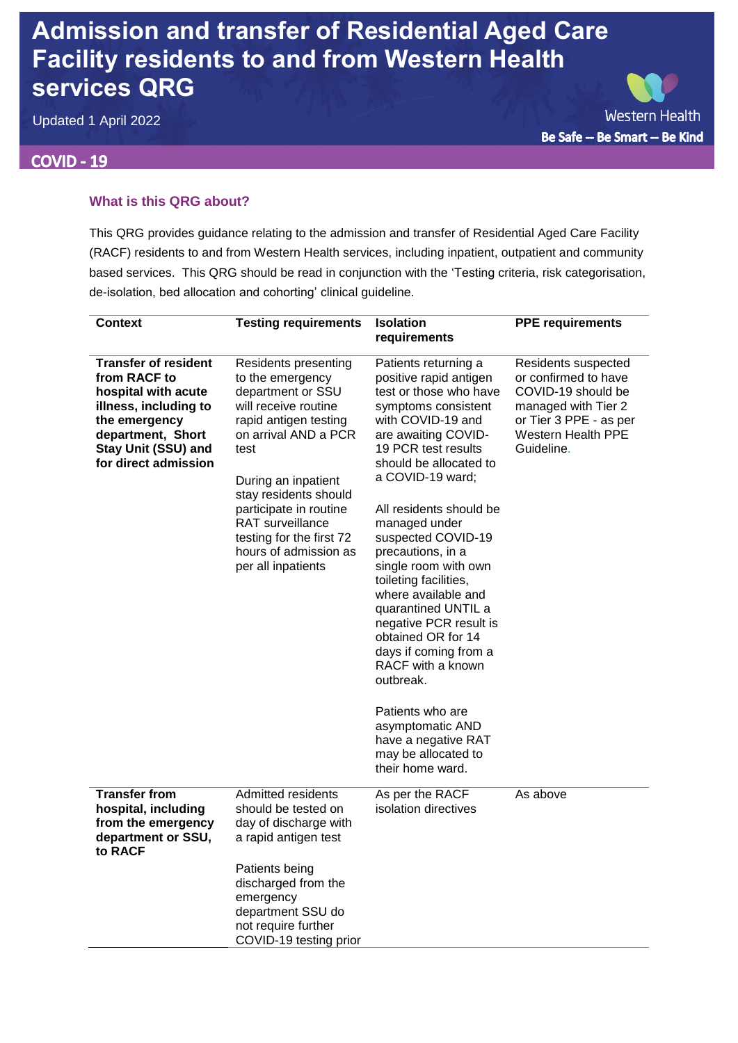# **Admission and transfer of Residential Aged Care Facility residents to and from Western Health services QRG**

Updated 1 April 2022

### **COVID - 19**

**Western Health** Be Safe -- Be Smart -- Be Kind

#### **What is this QRG about?**

This QRG provides guidance relating to the admission and transfer of Residential Aged Care Facility (RACF) residents to and from Western Health services, including inpatient, outpatient and community based services. This QRG should be read in conjunction with the 'Testing criteria, risk categorisation, de-isolation, bed allocation and cohorting' clinical guideline.

| <b>Context</b>                                                                                                                                                                   | <b>Testing requirements</b>                                                                                                                                                                                                                                                                                             | <b>Isolation</b><br>requirements                                                                                                                                                                                                                                                                                                                                                                                                                                                                                                                                                                                            | <b>PPE requirements</b>                                                                                                                                |
|----------------------------------------------------------------------------------------------------------------------------------------------------------------------------------|-------------------------------------------------------------------------------------------------------------------------------------------------------------------------------------------------------------------------------------------------------------------------------------------------------------------------|-----------------------------------------------------------------------------------------------------------------------------------------------------------------------------------------------------------------------------------------------------------------------------------------------------------------------------------------------------------------------------------------------------------------------------------------------------------------------------------------------------------------------------------------------------------------------------------------------------------------------------|--------------------------------------------------------------------------------------------------------------------------------------------------------|
| <b>Transfer of resident</b><br>from RACF to<br>hospital with acute<br>illness, including to<br>the emergency<br>department, Short<br>Stay Unit (SSU) and<br>for direct admission | Residents presenting<br>to the emergency<br>department or SSU<br>will receive routine<br>rapid antigen testing<br>on arrival AND a PCR<br>test<br>During an inpatient<br>stay residents should<br>participate in routine<br>RAT surveillance<br>testing for the first 72<br>hours of admission as<br>per all inpatients | Patients returning a<br>positive rapid antigen<br>test or those who have<br>symptoms consistent<br>with COVID-19 and<br>are awaiting COVID-<br>19 PCR test results<br>should be allocated to<br>a COVID-19 ward;<br>All residents should be<br>managed under<br>suspected COVID-19<br>precautions, in a<br>single room with own<br>toileting facilities,<br>where available and<br>quarantined UNTIL a<br>negative PCR result is<br>obtained OR for 14<br>days if coming from a<br>RACF with a known<br>outbreak.<br>Patients who are<br>asymptomatic AND<br>have a negative RAT<br>may be allocated to<br>their home ward. | Residents suspected<br>or confirmed to have<br>COVID-19 should be<br>managed with Tier 2<br>or Tier 3 PPE - as per<br>Western Health PPE<br>Guideline. |
| <b>Transfer from</b><br>hospital, including<br>from the emergency<br>department or SSU,<br>to RACF                                                                               | Admitted residents<br>should be tested on<br>day of discharge with<br>a rapid antigen test                                                                                                                                                                                                                              | As per the RACF<br>isolation directives                                                                                                                                                                                                                                                                                                                                                                                                                                                                                                                                                                                     | As above                                                                                                                                               |
|                                                                                                                                                                                  | Patients being<br>discharged from the<br>emergency<br>department SSU do<br>not require further<br>COVID-19 testing prior                                                                                                                                                                                                |                                                                                                                                                                                                                                                                                                                                                                                                                                                                                                                                                                                                                             |                                                                                                                                                        |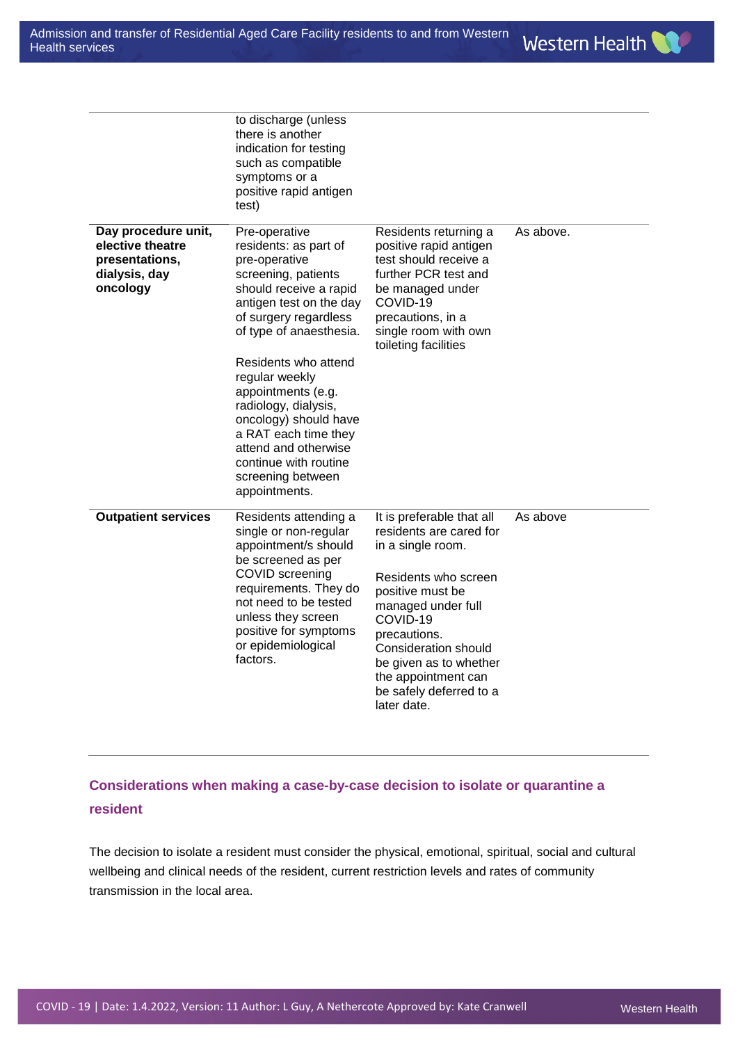|                                                                                        | to discharge (unless<br>there is another<br>indication for testing<br>such as compatible<br>symptoms or a<br>positive rapid antigen<br>test)                                                                                                       |                                                                                                                                                                                                                      |           |
|----------------------------------------------------------------------------------------|----------------------------------------------------------------------------------------------------------------------------------------------------------------------------------------------------------------------------------------------------|----------------------------------------------------------------------------------------------------------------------------------------------------------------------------------------------------------------------|-----------|
| Day procedure unit,<br>elective theatre<br>presentations,<br>dialysis, day<br>oncology | Pre-operative<br>residents: as part of<br>pre-operative<br>screening, patients<br>should receive a rapid<br>antigen test on the day<br>of surgery regardless<br>of type of anaesthesia.                                                            | Residents returning a<br>positive rapid antigen<br>test should receive a<br>further PCR test and<br>be managed under<br>COVID-19<br>precautions, in a<br>single room with own<br>toileting facilities                | As above. |
|                                                                                        | Residents who attend<br>regular weekly<br>appointments (e.g.<br>radiology, dialysis,<br>oncology) should have<br>a RAT each time they<br>attend and otherwise<br>continue with routine<br>screening between<br>appointments.                       |                                                                                                                                                                                                                      |           |
| <b>Outpatient services</b>                                                             | Residents attending a<br>single or non-regular<br>appointment/s should<br>be screened as per<br>COVID screening<br>requirements. They do<br>not need to be tested<br>unless they screen<br>positive for symptoms<br>or epidemiological<br>factors. | It is preferable that all<br>residents are cared for<br>in a single room.                                                                                                                                            | As above  |
|                                                                                        |                                                                                                                                                                                                                                                    | Residents who screen<br>positive must be<br>managed under full<br>COVID-19<br>precautions.<br><b>Consideration should</b><br>be given as to whether<br>the appointment can<br>be safely deferred to a<br>later date. |           |

## **Considerations when making a case-by-case decision to isolate or quarantine a resident**

The decision to isolate a resident must consider the physical, emotional, spiritual, social and cultural wellbeing and clinical needs of the resident, current restriction levels and rates of community transmission in the local area.